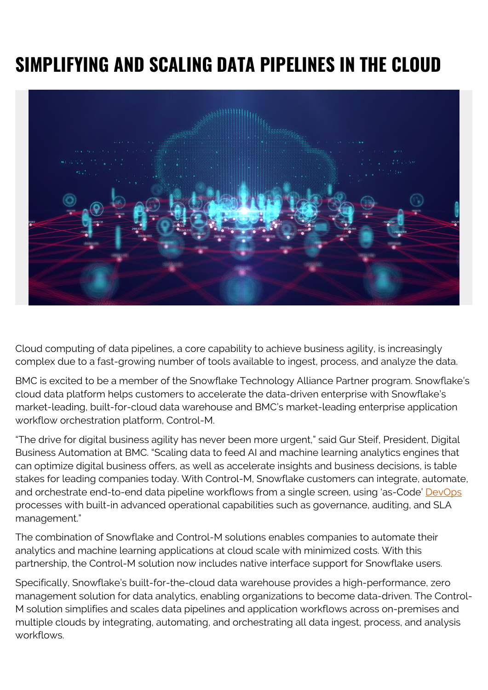## **SIMPLIFYING AND SCALING DATA PIPELINES IN THE CLOUD**



Cloud computing of data pipelines, a core capability to achieve business agility, is increasingly complex due to a fast-growing number of tools available to ingest, process, and analyze the data.

BMC is excited to be a member of the Snowflake Technology Alliance Partner program. Snowflake's cloud data platform helps customers to accelerate the data-driven enterprise with Snowflake's market-leading, built-for-cloud data warehouse and BMC's market-leading enterprise application workflow orchestration platform, Control-M.

"The drive for digital business agility has never been more urgent," said Gur Steif, President, Digital Business Automation at BMC. "Scaling data to feed AI and machine learning analytics engines that can optimize digital business offers, as well as accelerate insights and business decisions, is table stakes for leading companies today. With Control-M, Snowflake customers can integrate, automate, and orchestrate end-to-end data pipeline workflows from a single screen, using 'as-Code' [DevOps](https://blogs.bmc.com/blogs/devops-basics-introduction/) processes with built-in advanced operational capabilities such as governance, auditing, and SLA management."

The combination of Snowflake and Control-M solutions enables companies to automate their analytics and machine learning applications at cloud scale with minimized costs. With this partnership, the Control-M solution now includes native interface support for Snowflake users.

Specifically, Snowflake's built-for-the-cloud data warehouse provides a high-performance, zero management solution for data analytics, enabling organizations to become data-driven. The Control-M solution simplifies and scales data pipelines and application workflows across on-premises and multiple clouds by integrating, automating, and orchestrating all data ingest, process, and analysis workflows.